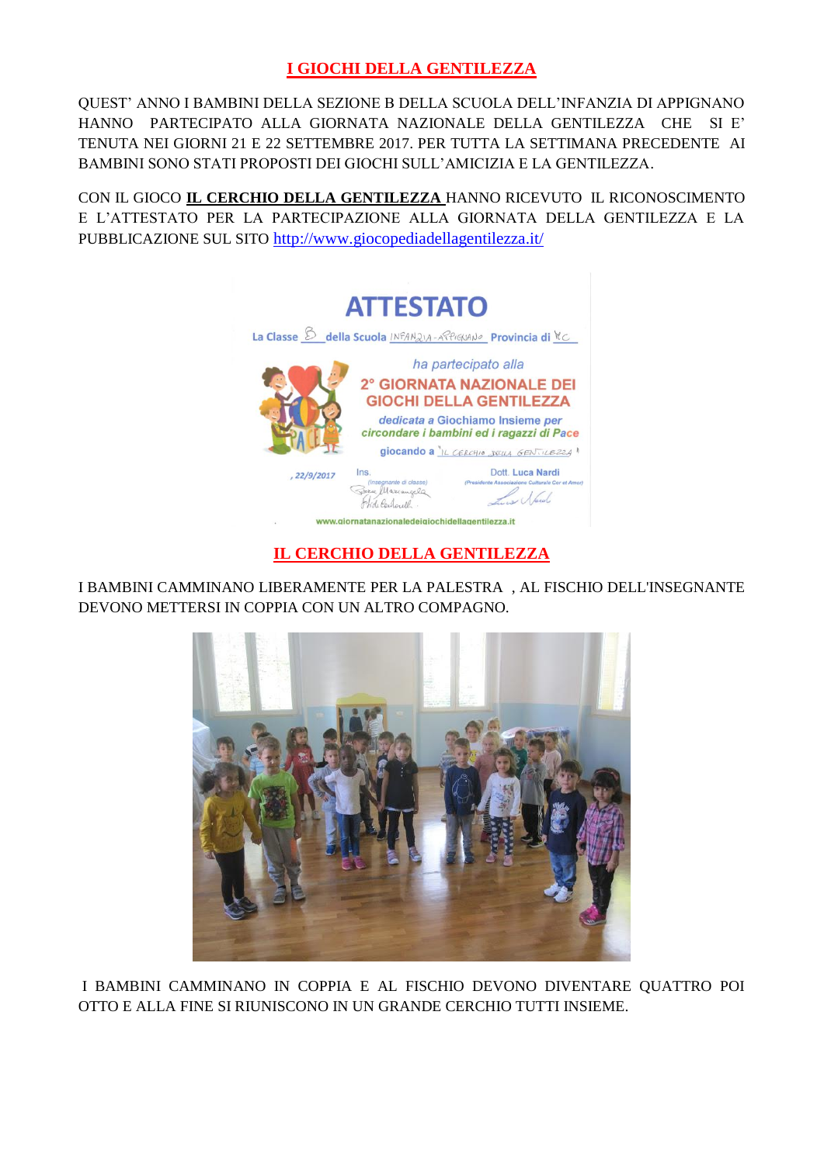### **I GIOCHI DELLA GENTILEZZA**

QUEST' ANNO I BAMBINI DELLA SEZIONE B DELLA SCUOLA DELL'INFANZIA DI APPIGNANO HANNO PARTECIPATO ALLA GIORNATA NAZIONALE DELLA GENTILEZZA CHE SI E' TENUTA NEI GIORNI 21 E 22 SETTEMBRE 2017. PER TUTTA LA SETTIMANA PRECEDENTE AI BAMBINI SONO STATI PROPOSTI DEI GIOCHI SULL'AMICIZIA E LA GENTILEZZA.

CON IL GIOCO **IL CERCHIO DELLA GENTILEZZA** HANNO RICEVUTO IL RICONOSCIMENTO E L'ATTESTATO PER LA PARTECIPAZIONE ALLA GIORNATA DELLA GENTILEZZA E LA PUBBLICAZIONE SUL SITO <http://www.giocopediadellagentilezza.it/>



## **IL CERCHIO DELLA GENTILEZZA**

I BAMBINI CAMMINANO LIBERAMENTE PER LA PALESTRA , AL FISCHIO DELL'INSEGNANTE DEVONO METTERSI IN COPPIA CON UN ALTRO COMPAGNO.



I BAMBINI CAMMINANO IN COPPIA E AL FISCHIO DEVONO DIVENTARE QUATTRO POI OTTO E ALLA FINE SI RIUNISCONO IN UN GRANDE CERCHIO TUTTI INSIEME.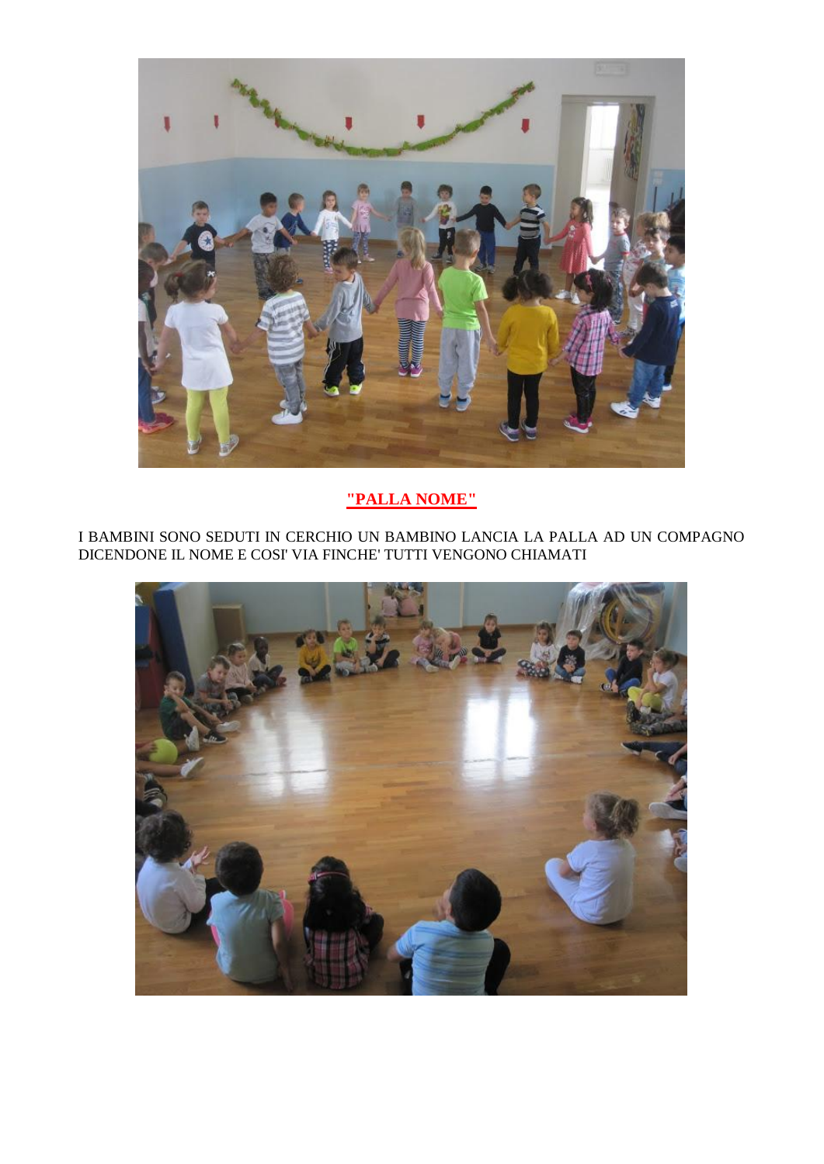

# "PALLA NOME"

I BAMBINI SONO SEDUTI IN CERCHIO UN BAMBINO LANCIA LA PALLA AD UN COMPAGNO DICENDONE IL NOME E COSI' VIA FINCHE' TUTTI VENGONO CHIAMATI

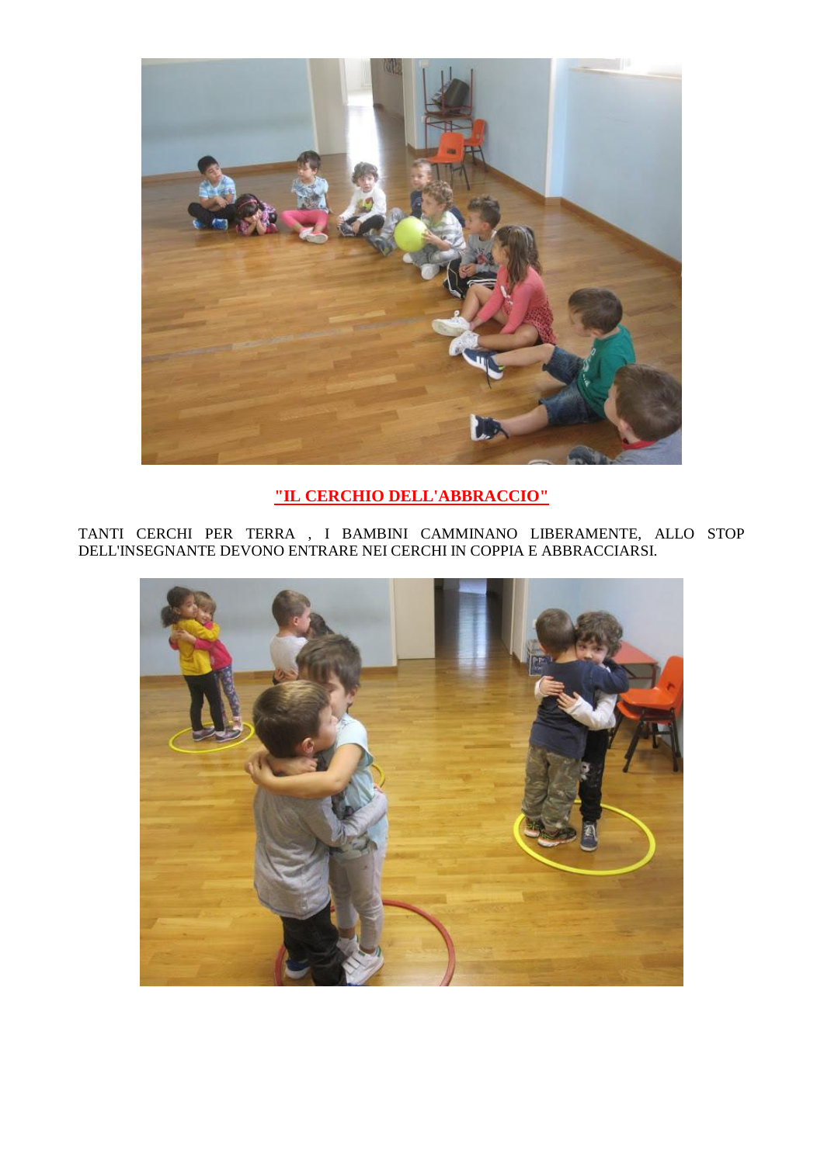

## **"IL CERCHIO DELL'ABBRACCIO"**

TANTI CERCHI PER TERRA , I BAMBINI CAMMINANO LIBERAMENTE, ALLO STOP DELL'INSEGNANTE DEVONO ENTRARE NEI CERCHI IN COPPIA E ABBRACCIARSI.

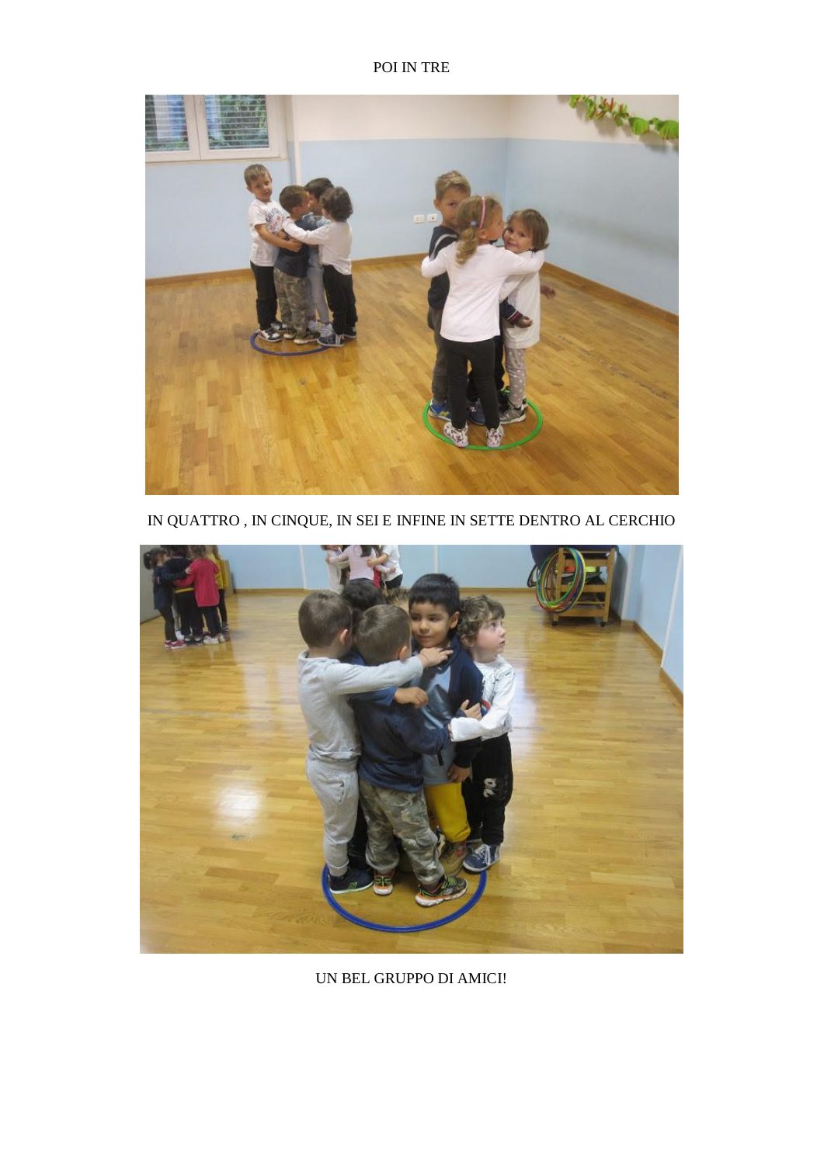POI IN TRE



IN QUATTRO , IN CINQUE, IN SEI E INFINE IN SETTE DENTRO AL CERCHIO



UN BEL GRUPPO DI AMICI!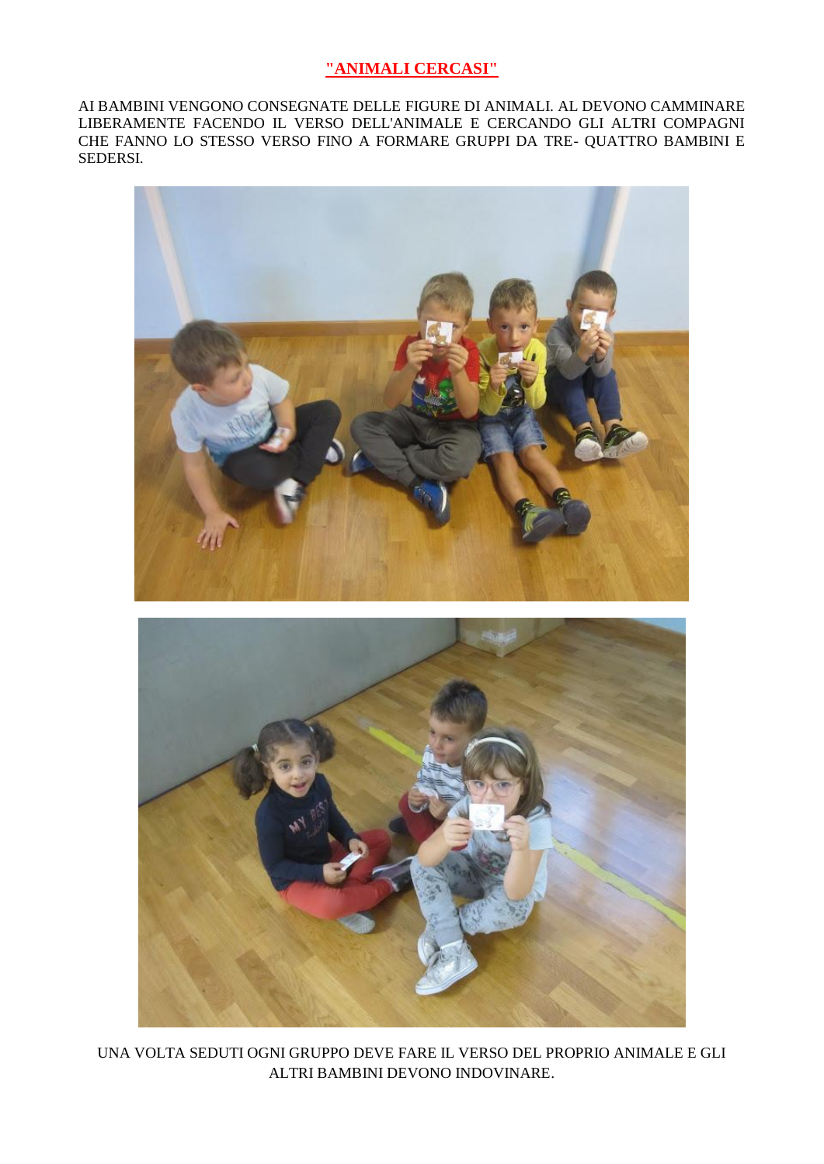#### "ANIMALI CERCASI"

AI BAMBINI VENGONO CONSEGNATE DELLE FIGURE DI ANIMALI. AL DEVONO CAMMINARE LIBERAMENTE FACENDO IL VERSO DELL'ANIMALE E CERCANDO GLI ALTRI COMPAGNI CHE FANNO LO STESSO VERSO FINO A FORMARE GRUPPI DA TRE- QUATTRO BAMBINI E SEDERSI.



UNA VOLTA SEDUTI OGNI GRUPPO DEVE FARE IL VERSO DEL PROPRIO ANIMALE E GLI ALTRI BAMBINI DEVONO INDOVINARE.